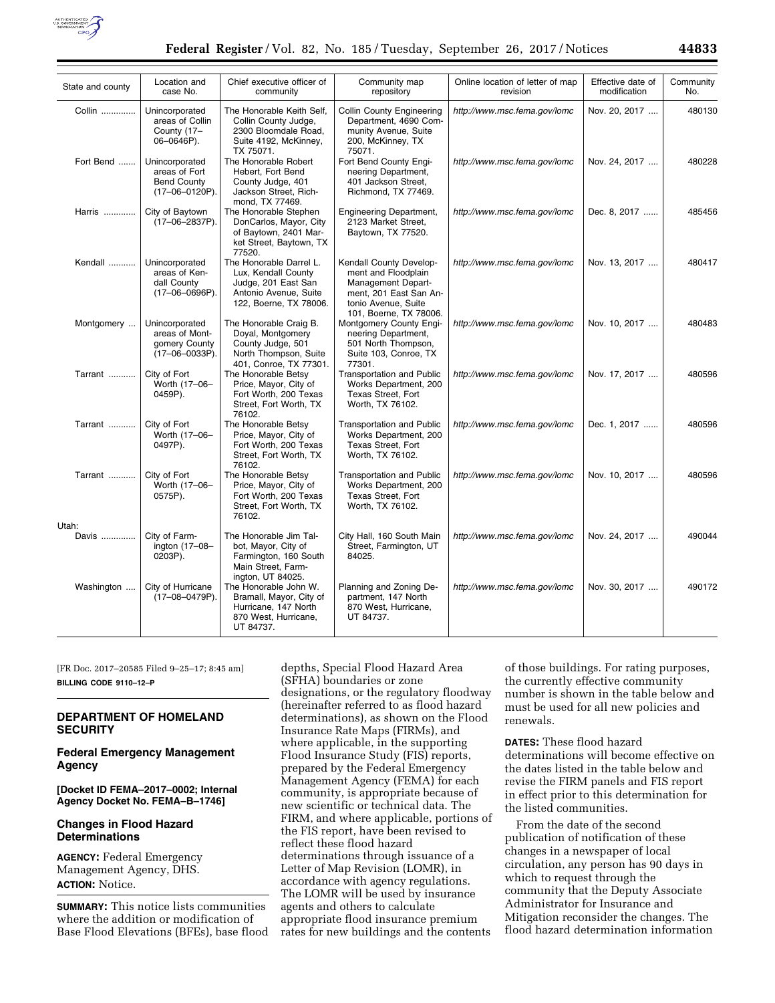

| State and county | Location and<br>case No.                                                | Chief executive officer of<br>community                                                                                  | Community map<br>repository                                                                                                                     | Online location of letter of map<br>revision | Effective date of<br>modification | Community<br>No. |
|------------------|-------------------------------------------------------------------------|--------------------------------------------------------------------------------------------------------------------------|-------------------------------------------------------------------------------------------------------------------------------------------------|----------------------------------------------|-----------------------------------|------------------|
| Collin           | Unincorporated<br>areas of Collin<br>County (17-<br>06-0646P).          | The Honorable Keith Self,<br>Collin County Judge,<br>2300 Bloomdale Road,<br>Suite 4192, McKinney,<br>TX 75071.          | Collin County Engineering<br>Department, 4690 Com-<br>munity Avenue, Suite<br>200, McKinney, TX<br>75071.                                       | http://www.msc.fema.gov/lomc                 | Nov. 20, 2017                     | 480130           |
| Fort Bend        | Unincorporated<br>areas of Fort<br><b>Bend County</b><br>(17-06-0120P). | The Honorable Robert<br>Hebert, Fort Bend<br>County Judge, 401<br>Jackson Street, Rich-<br>mond, TX 77469.               | Fort Bend County Engi-<br>neering Department,<br>401 Jackson Street,<br>Richmond, TX 77469.                                                     | http://www.msc.fema.gov/lomc                 | Nov. 24, 2017                     | 480228           |
| Harris           | City of Baytown<br>(17-06-2837P).                                       | The Honorable Stephen<br>DonCarlos, Mayor, City<br>of Baytown, 2401 Mar-<br>ket Street, Baytown, TX<br>77520.            | <b>Engineering Department,</b><br>2123 Market Street,<br>Baytown, TX 77520.                                                                     | http://www.msc.fema.gov/lomc                 | Dec. 8, 2017                      | 485456           |
| Kendall          | Unincorporated<br>areas of Ken-<br>dall County<br>$(17-06-0696P)$ .     | The Honorable Darrel L.<br>Lux, Kendall County<br>Judge, 201 East San<br>Antonio Avenue, Suite<br>122, Boerne, TX 78006. | Kendall County Develop-<br>ment and Floodplain<br>Management Depart-<br>ment, 201 East San An-<br>tonio Avenue, Suite<br>101, Boerne, TX 78006. | http://www.msc.fema.gov/lomc                 | Nov. 13, 2017                     | 480417           |
| Montgomery       | Unincorporated<br>areas of Mont-<br>gomery County<br>$(17-06-0033P).$   | The Honorable Craig B.<br>Doyal, Montgomery<br>County Judge, 501<br>North Thompson, Suite<br>401, Conroe, TX 77301.      | Montgomery County Engi-<br>neering Department,<br>501 North Thompson,<br>Suite 103, Conroe, TX<br>77301.                                        | http://www.msc.fema.gov/lomc                 | Nov. 10, 2017                     | 480483           |
| Tarrant          | City of Fort<br>Worth (17-06-<br>0459P).                                | The Honorable Betsy<br>Price, Mayor, City of<br>Fort Worth, 200 Texas<br>Street, Fort Worth, TX<br>76102.                | <b>Transportation and Public</b><br>Works Department, 200<br>Texas Street, Fort<br>Worth, TX 76102.                                             | http://www.msc.fema.gov/lomc                 | Nov. 17, 2017                     | 480596           |
| Tarrant          | City of Fort<br>Worth (17-06-<br>0497P).                                | The Honorable Betsy<br>Price, Mayor, City of<br>Fort Worth, 200 Texas<br>Street, Fort Worth, TX<br>76102.                | <b>Transportation and Public</b><br>Works Department, 200<br>Texas Street, Fort<br>Worth, TX 76102.                                             | http://www.msc.fema.gov/lomc                 | Dec. 1, 2017                      | 480596           |
| Tarrant          | City of Fort<br>Worth (17-06-<br>0575P).                                | The Honorable Betsy<br>Price, Mayor, City of<br>Fort Worth, 200 Texas<br>Street, Fort Worth, TX<br>76102.                | <b>Transportation and Public</b><br>Works Department, 200<br>Texas Street, Fort<br>Worth, TX 76102.                                             | http://www.msc.fema.gov/lomc                 | Nov. 10, 2017                     | 480596           |
| Utah:<br>Davis   | City of Farm-<br>ington (17-08-<br>0203P).                              | The Honorable Jim Tal-<br>bot, Mayor, City of<br>Farmington, 160 South<br>Main Street, Farm-<br>ington, UT 84025.        | City Hall, 160 South Main<br>Street, Farmington, UT<br>84025.                                                                                   | http://www.msc.fema.gov/lomc                 | Nov. 24, 2017                     | 490044           |
| Washington       | City of Hurricane<br>(17-08-0479P).                                     | The Honorable John W.<br>Bramall, Mayor, City of<br>Hurricane, 147 North<br>870 West, Hurricane,<br>UT 84737.            | Planning and Zoning De-<br>partment, 147 North<br>870 West, Hurricane,<br>UT 84737.                                                             | http://www.msc.fema.gov/lomc                 | Nov. 30, 2017                     | 490172           |

[FR Doc. 2017–20585 Filed 9–25–17; 8:45 am] **BILLING CODE 9110–12–P** 

# **DEPARTMENT OF HOMELAND SECURITY**

# **Federal Emergency Management Agency**

**[Docket ID FEMA–2017–0002; Internal Agency Docket No. FEMA–B–1746]** 

### **Changes in Flood Hazard Determinations**

**AGENCY:** Federal Emergency Management Agency, DHS. **ACTION:** Notice.

**SUMMARY:** This notice lists communities where the addition or modification of Base Flood Elevations (BFEs), base flood

depths, Special Flood Hazard Area (SFHA) boundaries or zone designations, or the regulatory floodway (hereinafter referred to as flood hazard determinations), as shown on the Flood Insurance Rate Maps (FIRMs), and where applicable, in the supporting Flood Insurance Study (FIS) reports, prepared by the Federal Emergency Management Agency (FEMA) for each community, is appropriate because of new scientific or technical data. The FIRM, and where applicable, portions of the FIS report, have been revised to reflect these flood hazard determinations through issuance of a Letter of Map Revision (LOMR), in accordance with agency regulations. The LOMR will be used by insurance agents and others to calculate appropriate flood insurance premium rates for new buildings and the contents

of those buildings. For rating purposes, the currently effective community number is shown in the table below and must be used for all new policies and renewals.

**DATES:** These flood hazard determinations will become effective on the dates listed in the table below and revise the FIRM panels and FIS report in effect prior to this determination for the listed communities.

From the date of the second publication of notification of these changes in a newspaper of local circulation, any person has 90 days in which to request through the community that the Deputy Associate Administrator for Insurance and Mitigation reconsider the changes. The flood hazard determination information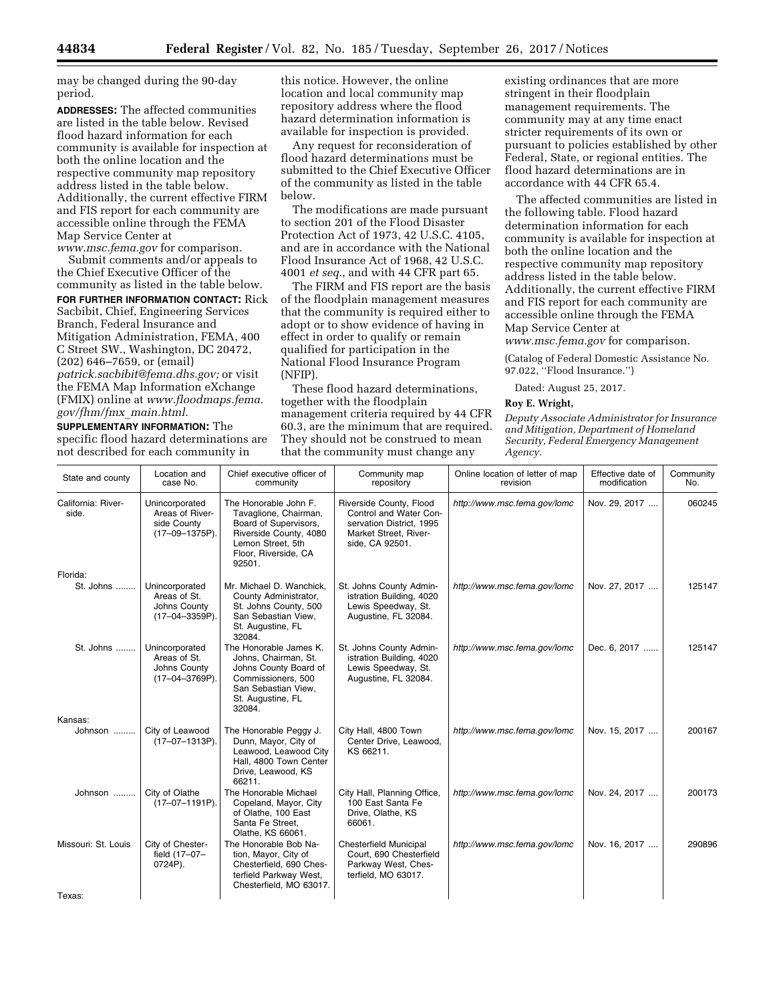may be changed during the 90-day period.

**ADDRESSES:** The affected communities are listed in the table below. Revised flood hazard information for each community is available for inspection at both the online location and the respective community map repository address listed in the table below. Additionally, the current effective FIRM and FIS report for each community are accessible online through the FEMA Map Service Center at

*[www.msc.fema.gov](http://www.msc.fema.gov)* for comparison. Submit comments and/or appeals to the Chief Executive Officer of the community as listed in the table below. **FOR FURTHER INFORMATION CONTACT:** Rick Sacbibit, Chief, Engineering Services Branch, Federal Insurance and Mitigation Administration, FEMA, 400 C Street SW., Washington, DC 20472, (202) 646–7659, or (email) *[patrick.sacbibit@fema.dhs.gov;](mailto:patrick.sacbibit@fema.dhs.gov)* or visit the FEMA Map Information eXchange (FMIX) online at *[www.floodmaps.fema.](http://www.floodmaps.fema.gov/fhm/fmx_main.html) [gov/fhm/fmx](http://www.floodmaps.fema.gov/fhm/fmx_main.html)*\_*main.html.* 

**SUPPLEMENTARY INFORMATION:** The specific flood hazard determinations are not described for each community in

this notice. However, the online location and local community map repository address where the flood hazard determination information is available for inspection is provided.

Any request for reconsideration of flood hazard determinations must be submitted to the Chief Executive Officer of the community as listed in the table below.

The modifications are made pursuant to section 201 of the Flood Disaster Protection Act of 1973, 42 U.S.C. 4105, and are in accordance with the National Flood Insurance Act of 1968, 42 U.S.C. 4001 *et seq.,* and with 44 CFR part 65.

The FIRM and FIS report are the basis of the floodplain management measures that the community is required either to adopt or to show evidence of having in effect in order to qualify or remain qualified for participation in the National Flood Insurance Program (NFIP).

These flood hazard determinations, together with the floodplain management criteria required by 44 CFR 60.3, are the minimum that are required. They should not be construed to mean that the community must change any

existing ordinances that are more stringent in their floodplain management requirements. The community may at any time enact stricter requirements of its own or pursuant to policies established by other Federal, State, or regional entities. The flood hazard determinations are in accordance with 44 CFR 65.4.

The affected communities are listed in the following table. Flood hazard determination information for each community is available for inspection at both the online location and the respective community map repository address listed in the table below. Additionally, the current effective FIRM and FIS report for each community are accessible online through the FEMA Map Service Center at

*[www.msc.fema.gov](http://www.msc.fema.gov)* for comparison.

(Catalog of Federal Domestic Assistance No. 97.022, ''Flood Insurance.'')

Dated: August 25, 2017.

### **Roy E. Wright,**

*Deputy Associate Administrator for Insurance and Mitigation, Department of Homeland Security, Federal Emergency Management Agency.* 

| State and county            | Location and<br>case No.                                           | Chief executive officer of<br>community                                                                                                                  | Community map<br>repository                                                                                               | Online location of letter of map<br>revision | Effective date of<br>modification | Community<br>No. |
|-----------------------------|--------------------------------------------------------------------|----------------------------------------------------------------------------------------------------------------------------------------------------------|---------------------------------------------------------------------------------------------------------------------------|----------------------------------------------|-----------------------------------|------------------|
| California: River-<br>side. | Unincorporated<br>Areas of River-<br>side County<br>(17-09-1375P). | The Honorable John F.<br>Tavaglione, Chairman,<br>Board of Supervisors,<br>Riverside County, 4080<br>Lemon Street, 5th<br>Floor, Riverside, CA<br>92501. | Riverside County, Flood<br>Control and Water Con-<br>servation District, 1995<br>Market Street, River-<br>side, CA 92501. | http://www.msc.fema.gov/lomc                 | Nov. 29, 2017                     | 060245           |
| Florida:                    |                                                                    |                                                                                                                                                          |                                                                                                                           |                                              |                                   |                  |
| St. Johns                   | Unincorporated<br>Areas of St.<br>Johns County<br>(17-04-3359P).   | Mr. Michael D. Wanchick,<br>County Administrator,<br>St. Johns County, 500<br>San Sebastian View,<br>St. Augustine, FL<br>32084.                         | St. Johns County Admin-<br>istration Building, 4020<br>Lewis Speedway, St.<br>Augustine, FL 32084.                        | http://www.msc.fema.gov/lomc                 | Nov. 27, 2017                     | 125147           |
| St. Johns                   | Unincorporated<br>Areas of St.<br>Johns County<br>(17-04-3769P).   | The Honorable James K.<br>Johns, Chairman, St.<br>Johns County Board of<br>Commissioners, 500<br>San Sebastian View,<br>St. Augustine, FL<br>32084.      | St. Johns County Admin-<br>istration Building, 4020<br>Lewis Speedway, St.<br>Augustine, FL 32084.                        | http://www.msc.fema.gov/lomc                 | Dec. 6, 2017                      | 125147           |
| Kansas:                     |                                                                    |                                                                                                                                                          |                                                                                                                           |                                              |                                   |                  |
| Johnson                     | City of Leawood<br>$(17-07-1313P)$ .                               | The Honorable Peggy J.<br>Dunn, Mayor, City of<br>Leawood, Leawood City<br>Hall, 4800 Town Center<br>Drive, Leawood, KS<br>66211.                        | City Hall, 4800 Town<br>Center Drive, Leawood,<br>KS 66211.                                                               | http://www.msc.fema.gov/lomc                 | Nov. 15, 2017                     | 200167           |
| Johnson                     | City of Olathe<br>$(17-07-1191P)$ .                                | The Honorable Michael<br>Copeland, Mayor, City<br>of Olathe, 100 East<br>Santa Fe Street,<br>Olathe, KS 66061.                                           | City Hall, Planning Office,<br>100 East Santa Fe<br>Drive, Olathe, KS<br>66061.                                           | http://www.msc.fema.gov/lomc                 | Nov. 24, 2017                     | 200173           |
| Missouri: St. Louis         | City of Chester-<br>field (17-07-<br>0724P).                       | The Honorable Bob Na-<br>tion, Mayor, City of<br>Chesterfield, 690 Ches-<br>terfield Parkway West,<br>Chesterfield, MO 63017.                            | <b>Chesterfield Municipal</b><br>Court, 690 Chesterfield<br>Parkway West, Ches-<br>terfield, MO 63017.                    | http://www.msc.fema.gov/lomc                 | Nov. 16, 2017                     | 290896           |
| Texas:                      |                                                                    |                                                                                                                                                          |                                                                                                                           |                                              |                                   |                  |